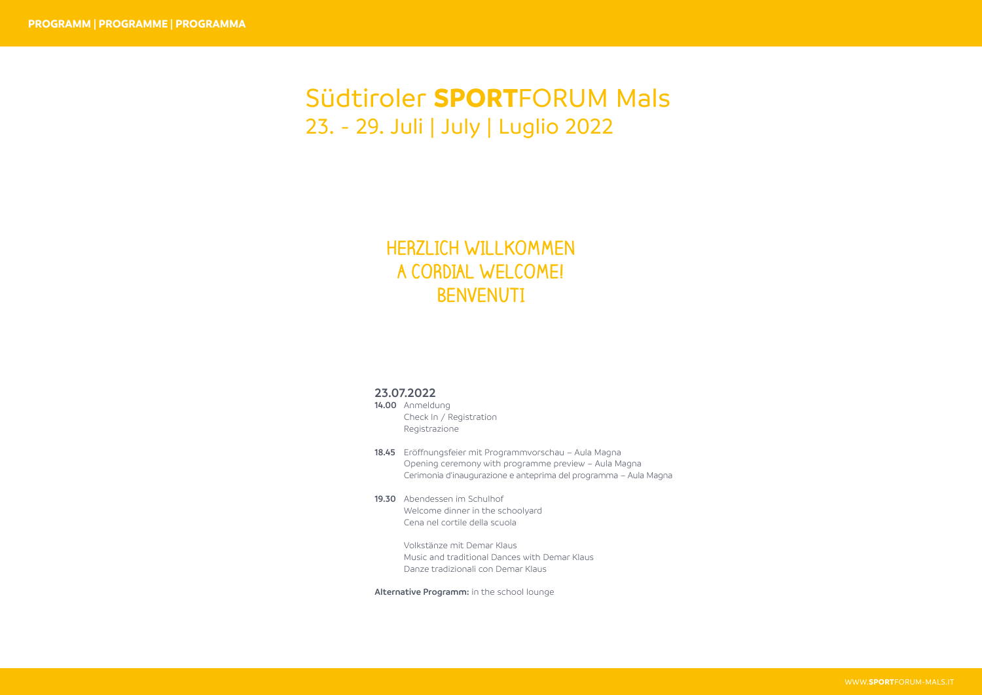## Südtiroler **SPORT**FORUM Mals 23. - 29. Juli | July | Luglio 2022

## **HERZLICH WILLKOMMEN A CORDIAL WELCOME! BENVENUTI**

## **23.07.2022**

- **14.00** Anmeldung Check In / Registration Registrazione
- **18.45** Eröffnungsfeier mit Programmvorschau Aula Magna Opening ceremony with programme preview – Aula Magna Cerimonia d'inaugurazione e anteprima del programma – Aula Magna
- **19.30** Abendessen im Schulhof Welcome dinner in the schoolyard Cena nel cortile della scuola
	- Volkstänze mit Demar Klaus Music and traditional Dances with Demar Klaus Danze tradizionali con Demar Klaus

**Alternative Programm:** in the school lounge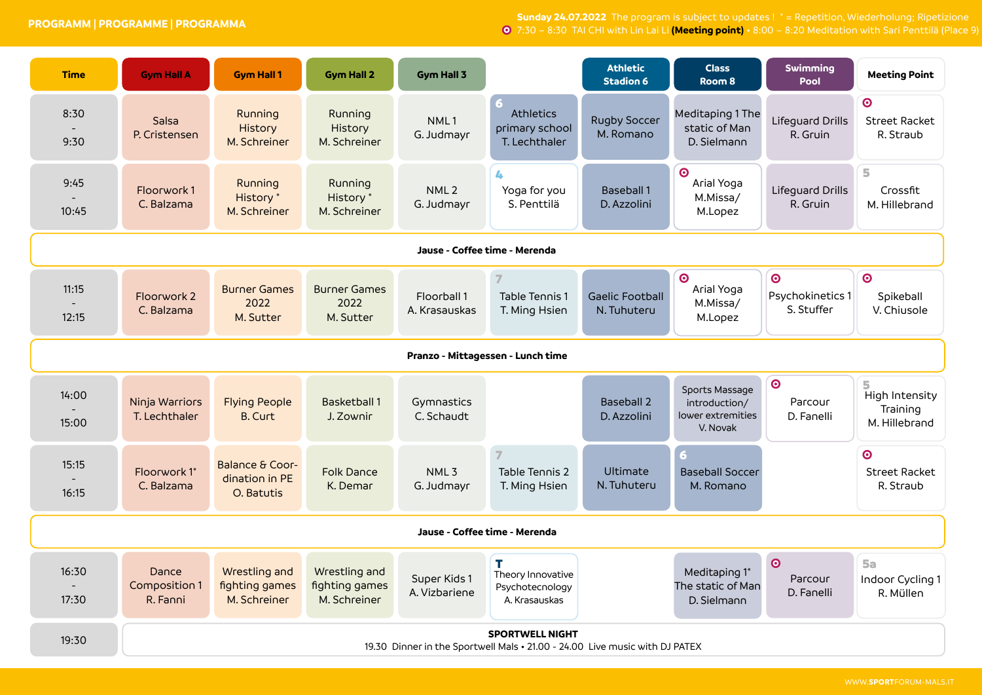**PROGRAMM | PROGRAMME | PROGRAMMA**

**Sunday 24.07.2022** The program is subject to updates ! \* = Repetition, Wiederholung; Ripetizione 7:30 – 8:30 TAI CHI with Lin Lai Li **(Meeting point)** • 8:00 – 8:20 Meditation with Sari Penttilä (Place 9)

| <b>Time</b>                       | <b>Gym Hall A</b>                                                                                     | <b>Gym Hall 1</b>                                          | <b>Gym Hall 2</b>                               | <b>Gym Hall 3</b>              |                                                             | <b>Athletic</b><br><b>Stadion 6</b>   | <b>Class</b><br>Room <sub>8</sub>                                | Swimming<br><b>Pool</b>                   | <b>Meeting Point</b>                                    |  |
|-----------------------------------|-------------------------------------------------------------------------------------------------------|------------------------------------------------------------|-------------------------------------------------|--------------------------------|-------------------------------------------------------------|---------------------------------------|------------------------------------------------------------------|-------------------------------------------|---------------------------------------------------------|--|
| 8:30<br>9:30                      | Salsa<br>P. Cristensen                                                                                | Running<br>History<br>M. Schreiner                         | Running<br>History<br>M. Schreiner              | NML1<br>G. Judmayr             | Athletics<br>primary school<br>T. Lechthaler                | <b>Rugby Soccer</b><br>M. Romano      | Meditaping 1 The<br>static of Man<br>D. Sielmann                 | Lifeguard Drills<br>R. Gruin              | $\odot$<br><b>Street Racket</b><br>R. Straub            |  |
| 9:45<br>10:45                     | Floorwork1<br>C. Balzama                                                                              | Running<br>History <sup>*</sup><br>M. Schreiner            | Running<br>History <sup>*</sup><br>M. Schreiner | NML <sub>2</sub><br>G. Judmayr | 4<br>Yoga for you<br>S. Penttilä                            | <b>Baseball 1</b><br>D. Azzolini      | $\odot$<br>Arial Yoga<br>M.Missa/<br>M.Lopez                     | Lifeguard Drills<br>R. Gruin              | 5<br>Crossfit<br>M. Hillebrand                          |  |
| Jause - Coffee time - Merenda     |                                                                                                       |                                                            |                                                 |                                |                                                             |                                       |                                                                  |                                           |                                                         |  |
| 11:15<br>12:15                    | Floorwork 2<br>C. Balzama                                                                             | <b>Burner Games</b><br>2022<br>M. Sutter                   | <b>Burner Games</b><br>2022<br>M. Sutter        | Floorball 1<br>A. Krasauskas   | Table Tennis 1<br>T. Ming Hsien                             | <b>Gaelic Football</b><br>N. Tuhuteru | $\bullet$<br>Arial Yoga<br>M.Missa/<br>M.Lopez                   | $\odot$<br>Psychokinetics 1<br>S. Stuffer | $\odot$<br>Spikeball<br>V. Chiusole                     |  |
| Pranzo - Mittagessen - Lunch time |                                                                                                       |                                                            |                                                 |                                |                                                             |                                       |                                                                  |                                           |                                                         |  |
| 14:00<br>15:00                    | Ninja Warriors<br>T. Lechthaler                                                                       | <b>Flying People</b><br><b>B. Curt</b>                     | <b>Basketball 1</b><br>J. Zownir                | Gymnastics<br>C. Schaudt       |                                                             | <b>Baseball 2</b><br>D. Azzolini      | Sports Massage<br>introduction/<br>lower extremities<br>V. Novak | $\bullet$<br>Parcour<br>D. Fanelli        | 5<br><b>High Intensity</b><br>Training<br>M. Hillebrand |  |
| 15:15<br>16:15                    | Floorwork 1*<br>C. Balzama                                                                            | <b>Balance &amp; Coor-</b><br>dination in PE<br>O. Batutis | <b>Folk Dance</b><br>K. Demar                   | NML <sub>3</sub><br>G. Judmayr | Table Tennis 2<br>T. Ming Hsien                             | <b>Ultimate</b><br>N. Tuhuteru        | <b>Baseball Soccer</b><br>M. Romano                              |                                           | $\odot$<br><b>Street Racket</b><br>R. Straub            |  |
| Jause - Coffee time - Merenda     |                                                                                                       |                                                            |                                                 |                                |                                                             |                                       |                                                                  |                                           |                                                         |  |
| 16:30<br>17:30                    | Dance<br>Composition 1<br>R. Fanni                                                                    | Wrestling and<br>fighting games<br>M. Schreiner            | Wrestling and<br>fighting games<br>M. Schreiner | Super Kids 1<br>A. Vizbariene  | T.<br>Theory Innovative<br>Psychotecnology<br>A. Krasauskas |                                       | Meditaping 1*<br>The static of Man<br>D. Sielmann                | $\odot$<br>Parcour<br>D. Fanelli          | <b>5a</b><br>Indoor Cycling 1<br>R. Müllen              |  |
| 19:30                             | <b>SPORTWELL NIGHT</b><br>19.30 Dinner in the Sportwell Mals • 21.00 - 24.00 Live music with DJ PATEX |                                                            |                                                 |                                |                                                             |                                       |                                                                  |                                           |                                                         |  |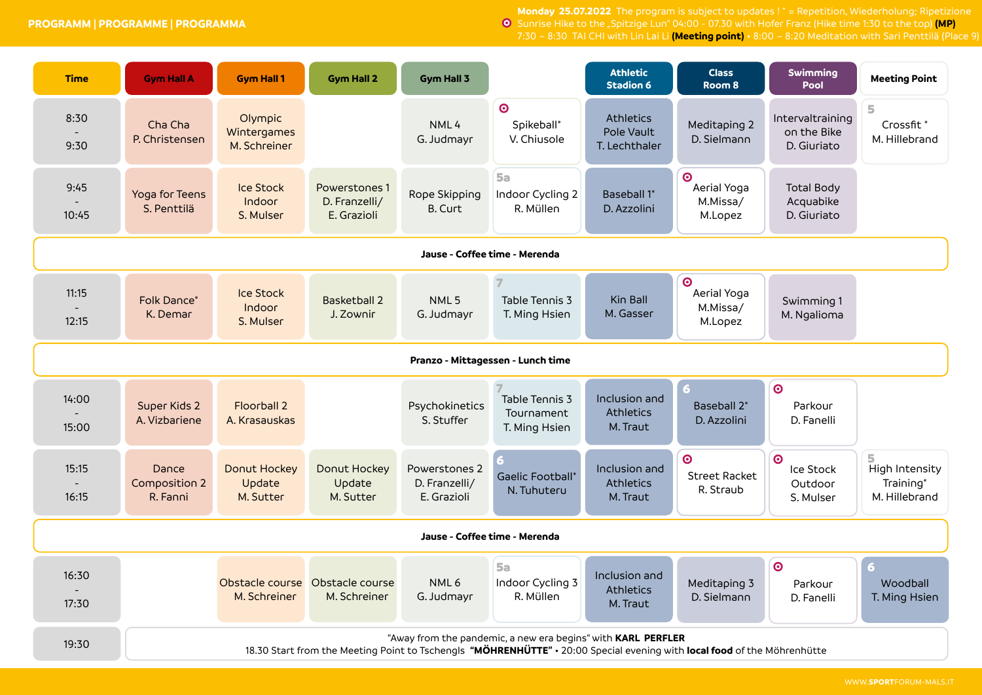**PROGRAMM | PROGRAMME | PROGRAMMA**

**Monday 25.07.2022** The program is subject to updates ! \* = Repetition, Wiederholung; Ripetizione Sunrise Hike to the "Spitzige Lun" 04:00 - 07.30 with Hofer Franz (Hike time 1:30 to the top) **(MP)** 7:30 – 8:30 TAI CHI with Lin Lai Li **(Meeting point)** • 8:00 – 8:20 Meditation with Sari Penttilä (Place 9)

| <b>Time</b>                                | <b>Gym Hall A</b>                                                                                                                                                                        | <b>Gym Hall 1</b>                                | <b>Gym Hall 2</b>                             | Gym Hall 3                                    |                                               | <b>Athletic</b><br><b>Stadion 6</b>           | <b>Class</b><br>Room 8                          | <b>Swimming</b><br>Pool                                   | <b>Meeting Point</b>                                      |  |
|--------------------------------------------|------------------------------------------------------------------------------------------------------------------------------------------------------------------------------------------|--------------------------------------------------|-----------------------------------------------|-----------------------------------------------|-----------------------------------------------|-----------------------------------------------|-------------------------------------------------|-----------------------------------------------------------|-----------------------------------------------------------|--|
| 8:30<br>9:30                               | Cha Cha<br>P. Christensen                                                                                                                                                                | Olympic<br>Wintergames<br>M. Schreiner           |                                               | NML4<br>G. Judmayr                            | $\odot$<br>Spikeball*<br>V. Chiusole          | Athletics<br>Pole Vault<br>T. Lechthaler      | Meditaping 2<br>D. Sielmann                     | Intervaltraining<br>on the Bike<br>D. Giuriato            | 5<br>Crossfit <sup>*</sup><br>M. Hillebrand               |  |
| 9:45<br>10:45                              | Yoga for Teens<br>S. Penttilä                                                                                                                                                            | <b>Ice Stock</b><br>Indoor<br>S. Mulser          | Powerstones 1<br>D. Franzelli/<br>E. Grazioli | Rope Skipping<br><b>B. Curt</b>               | <b>5a</b><br>Indoor Cycling 2<br>R. Müllen    | Baseball 1*<br>D. Azzolini                    | $\bullet$<br>Aerial Yoga<br>M.Missa/<br>M.Lopez | <b>Total Body</b><br>Acquabike<br>D. Giuriato             |                                                           |  |
| Jause - Coffee time - Merenda              |                                                                                                                                                                                          |                                                  |                                               |                                               |                                               |                                               |                                                 |                                                           |                                                           |  |
| 11:15<br>12:15                             | Folk Dance*<br>K. Demar                                                                                                                                                                  | <b>Ice Stock</b><br>Indoor<br>S. Mulser          | <b>Basketball 2</b><br>J. Zownir              | NML <sub>5</sub><br>G. Judmayr                | Table Tennis 3<br>T. Ming Hsien               | Kin Ball<br>M. Gasser                         | $\bullet$<br>Aerial Yoga<br>M.Missa/<br>M.Lopez | Swimming 1<br>M. Ngalioma                                 |                                                           |  |
| Pranzo - Mittagessen - Lunch time          |                                                                                                                                                                                          |                                                  |                                               |                                               |                                               |                                               |                                                 |                                                           |                                                           |  |
| 14:00<br>15:00                             | Super Kids 2<br>A. Vizbariene                                                                                                                                                            | <b>Floorball 2</b><br>A. Krasauskas              |                                               | Psychokinetics<br>S. Stuffer                  | Table Tennis 3<br>Tournament<br>T. Ming Hsien | Inclusion and<br><b>Athletics</b><br>M. Traut | 6.<br>Baseball 2*<br>D. Azzolini                | $\bullet$<br>Parkour<br>D. Fanelli                        |                                                           |  |
| 15:15<br>$\overline{\phantom{a}}$<br>16:15 | Dance<br>Composition 2<br>R. Fanni                                                                                                                                                       | <b>Donut Hockey</b><br>Update<br>M. Sutter       | Donut Hockey<br>Update<br>M. Sutter           | Powerstones 2<br>D. Franzelli/<br>E. Grazioli | <b>Gaelic Football</b> *<br>N. Tuhuteru       | Inclusion and<br><b>Athletics</b><br>M. Traut | $\odot$<br><b>Street Racket</b><br>R. Straub    | $\boldsymbol{\odot}$<br>Ice Stock<br>Outdoor<br>S. Mulser | 5.<br><b>High Intensity</b><br>Training*<br>M. Hillebrand |  |
| Jause - Coffee time - Merenda              |                                                                                                                                                                                          |                                                  |                                               |                                               |                                               |                                               |                                                 |                                                           |                                                           |  |
| 16:30<br>17:30                             |                                                                                                                                                                                          | Obstacle course  Obstacle course<br>M. Schreiner | M. Schreiner                                  | NML6<br>G. Judmayr                            | <b>5a</b><br>Indoor Cycling 3<br>R. Müllen    | Inclusion and<br><b>Athletics</b><br>M. Traut | Meditaping 3<br>D. Sielmann                     | $\odot$<br>Parkour<br>D. Fanelli                          | - 6<br>Woodball<br>T. Ming Hsien                          |  |
| 19:30                                      | "Away from the pandemic, a new era begins" with KARL PERFLER<br>18.30 Start from the Meeting Point to Tschengls "MÖHRENHÜTTE" . 20:00 Special evening with local food of the Möhrenhütte |                                                  |                                               |                                               |                                               |                                               |                                                 |                                                           |                                                           |  |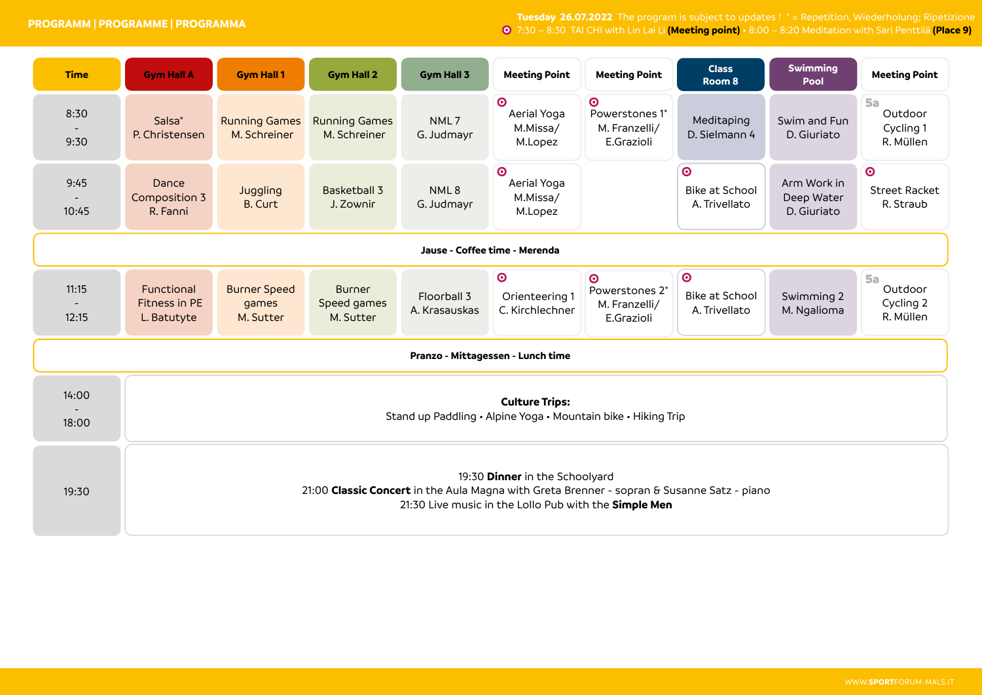**Tuesday 26.07.2022** The program is subject to updates ! \* = Repetition, Wiederholung; Ripetizione 7:30 – 8:30 TAI CHI with Lin Lai Li **(Meeting point)** • 8:00 – 8:20 Meditation with Sari Penttilä **(Place 9)**

| <b>Time</b>                                | <b>Gym Hall A</b>                                                                                                                                                                     | <b>Gym Hall 1</b>                         | <b>Gym Hall 2</b>                         | Gym Hall 3                   | <b>Meeting Point</b>                                       | <b>Meeting Point</b>                                       | <b>Class</b><br>Room 8                              | <b>Swimming</b><br>Pool                  | <b>Meeting Point</b>                           |  |  |  |
|--------------------------------------------|---------------------------------------------------------------------------------------------------------------------------------------------------------------------------------------|-------------------------------------------|-------------------------------------------|------------------------------|------------------------------------------------------------|------------------------------------------------------------|-----------------------------------------------------|------------------------------------------|------------------------------------------------|--|--|--|
| 8:30<br>9:30                               | Salsa <sup>*</sup><br>P. Christensen                                                                                                                                                  | <b>Running Games</b><br>M. Schreiner      | <b>Running Games</b><br>M. Schreiner      | NML7<br>G. Judmayr           | $\boldsymbol{\odot}$<br>Aerial Yoga<br>M.Missa/<br>M.Lopez | $\odot$<br>Powerstones 1*<br>M. Franzelli/<br>E.Grazioli   | Meditaping<br>D. Sielmann 4                         | Swim and Fun<br>D. Giuriato              | <b>5a</b><br>Outdoor<br>Cycling 1<br>R. Müllen |  |  |  |
| 9:45<br>10:45                              | Dance<br>Composition 3<br>R. Fanni                                                                                                                                                    | Juggling<br><b>B. Curt</b>                | <b>Basketball 3</b><br>J. Zownir          | NML8<br>G. Judmayr           | $\odot$<br>Aerial Yoga<br>M.Missa/<br>M.Lopez              |                                                            | $\bullet$<br><b>Bike at School</b><br>A. Trivellato | Arm Work in<br>Deep Water<br>D. Giuriato | $\bullet$<br><b>Street Racket</b><br>R. Straub |  |  |  |
|                                            | Jause - Coffee time - Merenda                                                                                                                                                         |                                           |                                           |                              |                                                            |                                                            |                                                     |                                          |                                                |  |  |  |
| 11:15<br>$\overline{\phantom{a}}$<br>12:15 | Functional<br>Fitness in PE<br>L. Batutyte                                                                                                                                            | <b>Burner Speed</b><br>games<br>M. Sutter | <b>Burner</b><br>Speed games<br>M. Sutter | Floorball 3<br>A. Krasauskas | $\bullet$<br>Orienteering 1<br>C. Kirchlechner             | $\bullet$<br>Powerstones 2*<br>M. Franzelli/<br>E.Grazioli | $\odot$<br><b>Bike at School</b><br>A. Trivellato   | Swimming 2<br>M. Ngalioma                | <b>5a</b><br>Outdoor<br>Cycling 2<br>R. Müllen |  |  |  |
| Pranzo - Mittagessen - Lunch time          |                                                                                                                                                                                       |                                           |                                           |                              |                                                            |                                                            |                                                     |                                          |                                                |  |  |  |
| 14:00<br>18:00                             | <b>Culture Trips:</b><br>Stand up Paddling • Alpine Yoga • Mountain bike • Hiking Trip                                                                                                |                                           |                                           |                              |                                                            |                                                            |                                                     |                                          |                                                |  |  |  |
| 19:30                                      | 19:30 Dinner in the Schoolyard<br>21:00 Classic Concert in the Aula Magna with Greta Brenner - sopran & Susanne Satz - piano<br>21:30 Live music in the Lollo Pub with the Simple Men |                                           |                                           |                              |                                                            |                                                            |                                                     |                                          |                                                |  |  |  |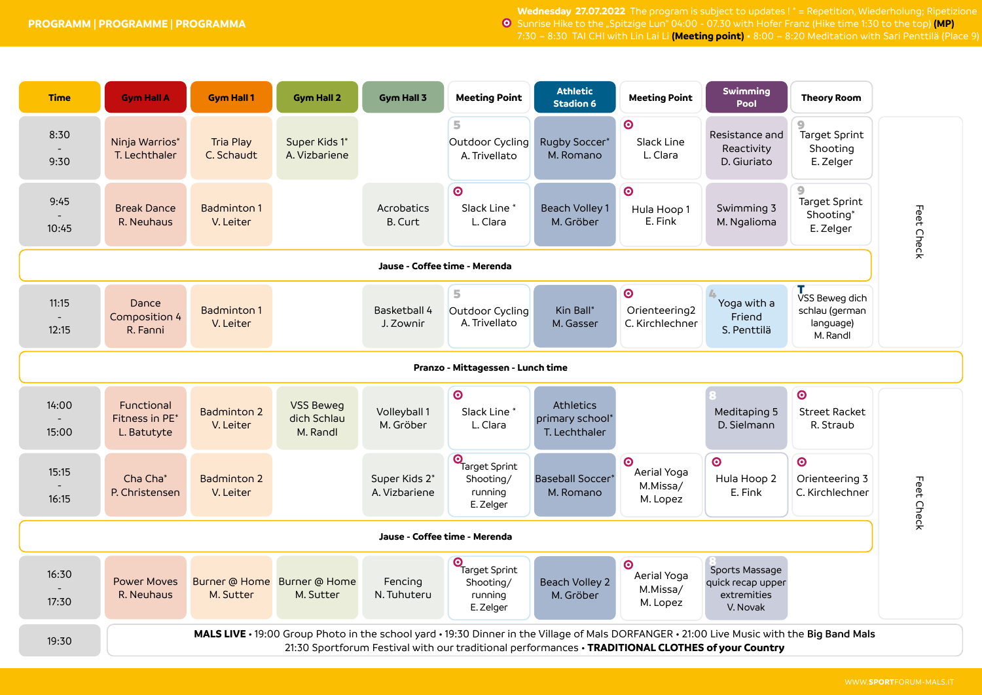**Wednesday 27.07.2022** The program is subject to updates ! \* = Repetition, Wiederholung; Ripetizione **O** Sunrise Hike to the "Spitzige Lun" 04:00 - 07.30 with Hofer Franz (Hike time 1:30 to the top) (MP) 7:30 – 8:30 TAI CHI with Lin Lai Li **(Meeting point)** • 8:00 – 8:20 Meditation with Sari Penttilä (Place 9)